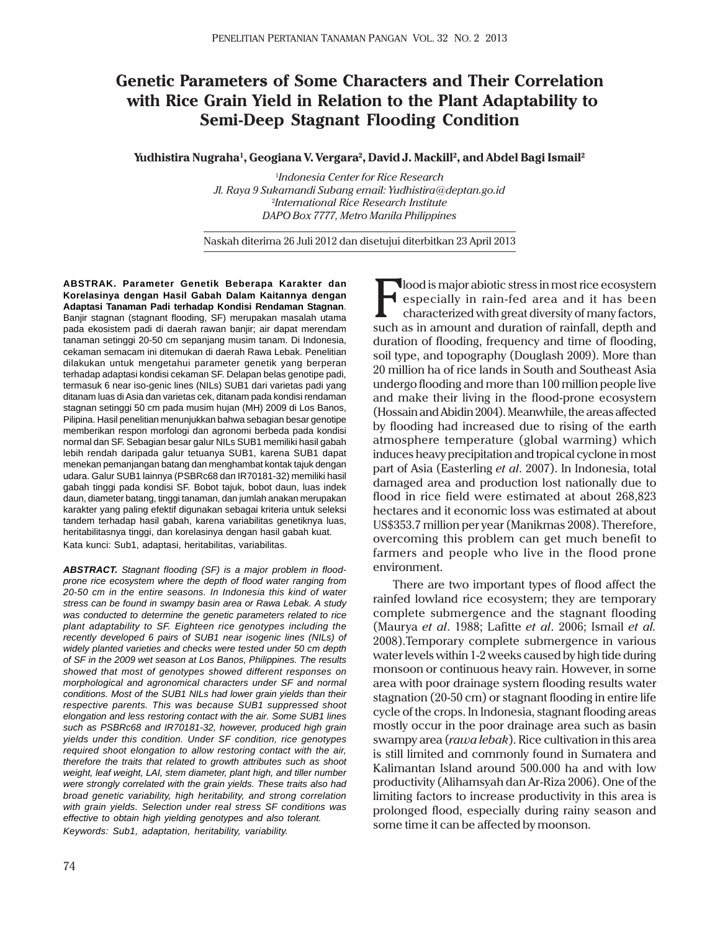# **Genetic Parameters of Some Characters and Their Correlation with Rice Grain Yield in Relation to the Plant Adaptability to Semi-Deep Stagnant Flooding Condition**

**Yudhistira Nugraha1 , Geogiana V. Vergara2 , David J. Mackill2 , and Abdel Bagi Ismail2**

1 *Indonesia Center for Rice Research Jl. Raya 9 Sukamandi Subang email: Yudhistira@deptan.go.id* 2 *International Rice Research Institute DAPO Box 7777, Metro Manila Philippines*

Naskah diterima 26 Juli 2012 dan disetujui diterbitkan 23 April 2013

**ABSTRAK. Parameter Genetik Beberapa Karakter dan Korelasinya dengan Hasil Gabah Dalam Kaitannya dengan Adaptasi Tanaman Padi terhadap Kondisi Rendaman Stagnan**. Banjir stagnan (stagnant flooding, SF) merupakan masalah utama pada ekosistem padi di daerah rawan banjir; air dapat merendam tanaman setinggi 20-50 cm sepanjang musim tanam. Di Indonesia, cekaman semacam ini ditemukan di daerah Rawa Lebak. Penelitian dilakukan untuk mengetahui parameter genetik yang berperan terhadap adaptasi kondisi cekaman SF. Delapan belas genotipe padi, termasuk 6 near iso-genic lines (NILs) SUB1 dari varietas padi yang ditanam luas di Asia dan varietas cek, ditanam pada kondisi rendaman stagnan setinggi 50 cm pada musim hujan (MH) 2009 di Los Banos, Pilipina. Hasil penelitian menunjukkan bahwa sebagian besar genotipe memberikan respon morfologi dan agronomi berbeda pada kondisi normal dan SF. Sebagian besar galur NILs SUB1 memiliki hasil gabah lebih rendah daripada galur tetuanya SUB1, karena SUB1 dapat menekan pemanjangan batang dan menghambat kontak tajuk dengan udara. Galur SUB1 lainnya (PSBRc68 dan IR70181-32) memiliki hasil gabah tinggi pada kondisi SF. Bobot tajuk, bobot daun, luas indek daun, diameter batang, tinggi tanaman, dan jumlah anakan merupakan karakter yang paling efektif digunakan sebagai kriteria untuk seleksi tandem terhadap hasil gabah, karena variabilitas genetiknya luas, heritabilitasnya tinggi, dan korelasinya dengan hasil gabah kuat. Kata kunci: Sub1, adaptasi, heritabilitas, variabilitas.

*ABSTRACT. Stagnant flooding (SF) is a major problem in floodprone rice ecosystem where the depth of flood water ranging from 20-50 cm in the entire seasons. In Indonesia this kind of water stress can be found in swampy basin area or Rawa Lebak. A study was conducted to determine the genetic parameters related to rice plant adaptability to SF. Eighteen rice genotypes including the recently developed 6 pairs of SUB1 near isogenic lines (NILs) of widely planted varieties and checks were tested under 50 cm depth of SF in the 2009 wet season at Los Banos, Philippines. The results showed that most of genotypes showed different responses on morphological and agronomical characters under SF and normal conditions. Most of the SUB1 NILs had lower grain yields than their respective parents. This was because SUB1 suppressed shoot elongation and less restoring contact with the air. Some SUB1 lines such as PSBRc68 and IR70181-32, however, produced high grain yields under this condition. Under SF condition, rice genotypes required shoot elongation to allow restoring contact with the air, therefore the traits that related to growth attributes such as shoot weight, leaf weight, LAI, stem diameter, plant high, and tiller number were strongly correlated with the grain yields. These traits also had broad genetic variability, high heritability, and strong correlation with grain yields. Selection under real stress SF conditions was effective to obtain high yielding genotypes and also tolerant. Keywords: Sub1, adaptation, heritability, variability.*

Flood is major abiotic stress in most rice ecosystem<br>
especially in rain-fed area and it has been<br>
characterized with great diversity of many factors, especially in rain-fed area and it has been characterized with great diversity of many factors, such as in amount and duration of rainfall, depth and duration of flooding, frequency and time of flooding, soil type, and topography (Douglash 2009). More than 20 million ha of rice lands in South and Southeast Asia undergo flooding and more than 100 million people live and make their living in the flood-prone ecosystem (Hossain and Abidin 2004). Meanwhile, the areas affected by flooding had increased due to rising of the earth atmosphere temperature (global warming) which induces heavy precipitation and tropical cyclone in most part of Asia (Easterling *et al*. 2007). In Indonesia, total damaged area and production lost nationally due to flood in rice field were estimated at about 268,823 hectares and it economic loss was estimated at about US\$353.7 million per year (Manikmas 2008). Therefore, overcoming this problem can get much benefit to farmers and people who live in the flood prone environment.

There are two important types of flood affect the rainfed lowland rice ecosystem; they are temporary complete submergence and the stagnant flooding (Maurya *et al*. 1988; Lafitte *et al*. 2006; Ismail *et al.* 2008).Temporary complete submergence in various water levels within 1-2 weeks caused by high tide during monsoon or continuous heavy rain. However, in some area with poor drainage system flooding results water stagnation (20-50 cm) or stagnant flooding in entire life cycle of the crops. In Indonesia, stagnant flooding areas mostly occur in the poor drainage area such as basin swampy area (*rawa lebak*). Rice cultivation in this area is still limited and commonly found in Sumatera and Kalimantan Island around 500.000 ha and with low productivity (Alihamsyah dan Ar-Riza 2006). One of the limiting factors to increase productivity in this area is prolonged flood, especially during rainy season and some time it can be affected by moonson.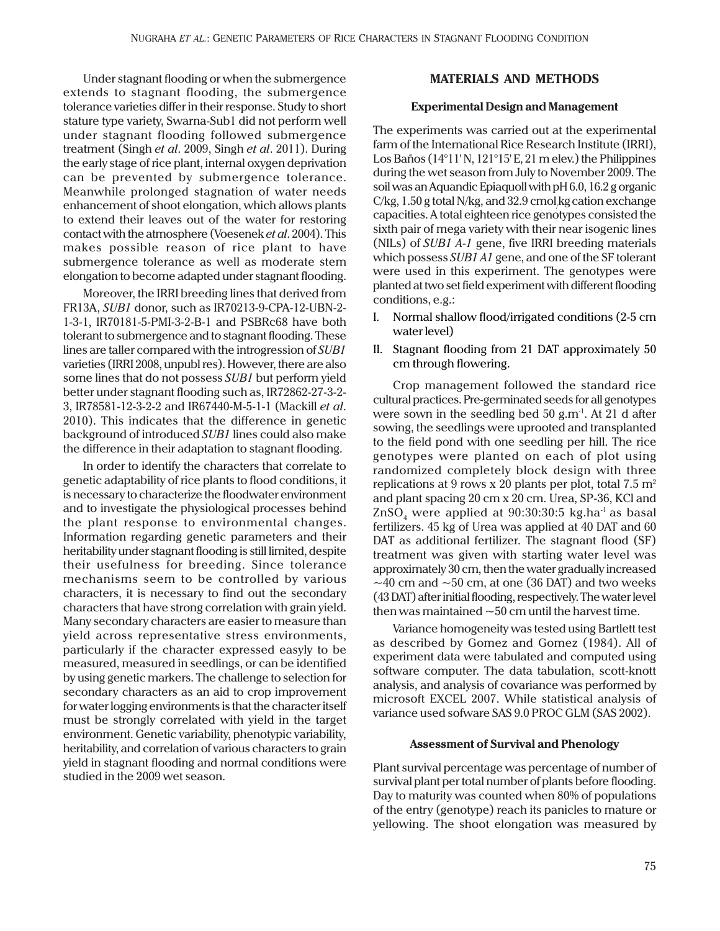Under stagnant flooding or when the submergence extends to stagnant flooding, the submergence tolerance varieties differ in their response. Study to short stature type variety, Swarna-Sub1 did not perform well under stagnant flooding followed submergence treatment (Singh *et al*. 2009, Singh *et al*. 2011). During the early stage of rice plant, internal oxygen deprivation can be prevented by submergence tolerance. Meanwhile prolonged stagnation of water needs enhancement of shoot elongation, which allows plants to extend their leaves out of the water for restoring contact with the atmosphere (Voesenek *et al*. 2004). This makes possible reason of rice plant to have submergence tolerance as well as moderate stem elongation to become adapted under stagnant flooding.

Moreover, the IRRI breeding lines that derived from FR13A, *SUB1* donor, such as IR70213-9-CPA-12-UBN-2- 1-3-1, IR70181-5-PMI-3-2-B-1 and PSBRc68 have both tolerant to submergence and to stagnant flooding. These lines are taller compared with the introgression of *SUB1* varieties (IRRI 2008, unpubl res). However, there are also some lines that do not possess *SUB1* but perform yield better under stagnant flooding such as, IR72862-27-3-2- 3, IR78581-12-3-2-2 and IR67440-M-5-1-1 (Mackill *et al*. 2010). This indicates that the difference in genetic background of introduced *SUB1* lines could also make the difference in their adaptation to stagnant flooding.

In order to identify the characters that correlate to genetic adaptability of rice plants to flood conditions, it is necessary to characterize the floodwater environment and to investigate the physiological processes behind the plant response to environmental changes. Information regarding genetic parameters and their heritability under stagnant flooding is still limited, despite their usefulness for breeding. Since tolerance mechanisms seem to be controlled by various characters, it is necessary to find out the secondary characters that have strong correlation with grain yield. Many secondary characters are easier to measure than yield across representative stress environments, particularly if the character expressed easyly to be measured, measured in seedlings, or can be identified by using genetic markers. The challenge to selection for secondary characters as an aid to crop improvement for water logging environments is that the character itself must be strongly correlated with yield in the target environment. Genetic variability, phenotypic variability, heritability, and correlation of various characters to grain yield in stagnant flooding and normal conditions were studied in the 2009 wet season.

# **MATERIALS AND METHODS**

### **Experimental Design and Management**

The experiments was carried out at the experimental farm of the International Rice Research Institute (IRRI), Los Baños (14°11' N, 121°15' E, 21 m elev.) the Philippines during the wet season from July to November 2009. The soil was an Aquandic Epiaquoll with pH 6.0, 16.2 g organic C/kg, 1.50 g total N/kg, and 32.9 cmol<sub>/</sub>kg cation exchange capacities. A total eighteen rice genotypes consisted the sixth pair of mega variety with their near isogenic lines (NILs) of *SUB1 A-1* gene, five IRRI breeding materials which possess *SUB1 A1* gene, and one of the SF tolerant were used in this experiment. The genotypes were planted at two set field experiment with different flooding conditions, e.g.:

- I. Normal shallow flood/irrigated conditions (2-5 cm water level)
- II. Stagnant flooding from 21 DAT approximately 50 cm through flowering.

Crop management followed the standard rice cultural practices. Pre-germinated seeds for all genotypes were sown in the seedling bed 50 g.m-1. At 21 d after sowing, the seedlings were uprooted and transplanted to the field pond with one seedling per hill. The rice genotypes were planted on each of plot using randomized completely block design with three replications at 9 rows x 20 plants per plot, total 7.5  $m<sup>2</sup>$ and plant spacing 20 cm x 20 cm. Urea, SP-36, KCl and  $\mathrm{ZnSO}_{_4}$  were applied at 90:30:30:5 kg.ha $^{\text{-1}}$  as basal fertilizers. 45 kg of Urea was applied at 40 DAT and 60 DAT as additional fertilizer. The stagnant flood (SF) treatment was given with starting water level was approximately 30 cm, then the water gradually increased  $\sim$ 40 cm and  $\sim$ 50 cm, at one (36 DAT) and two weeks (43 DAT) after initial flooding, respectively. The water level then was maintained  $\sim$  50 cm until the harvest time.

Variance homogeneity was tested using Bartlett test as described by Gomez and Gomez (1984). All of experiment data were tabulated and computed using software computer. The data tabulation, scott-knott analysis, and analysis of covariance was performed by microsoft EXCEL 2007. While statistical analysis of variance used sofware SAS 9.0 PROC GLM (SAS 2002).

## **Assessment of Survival and Phenology**

Plant survival percentage was percentage of number of survival plant per total number of plants before flooding. Day to maturity was counted when 80% of populations of the entry (genotype) reach its panicles to mature or yellowing. The shoot elongation was measured by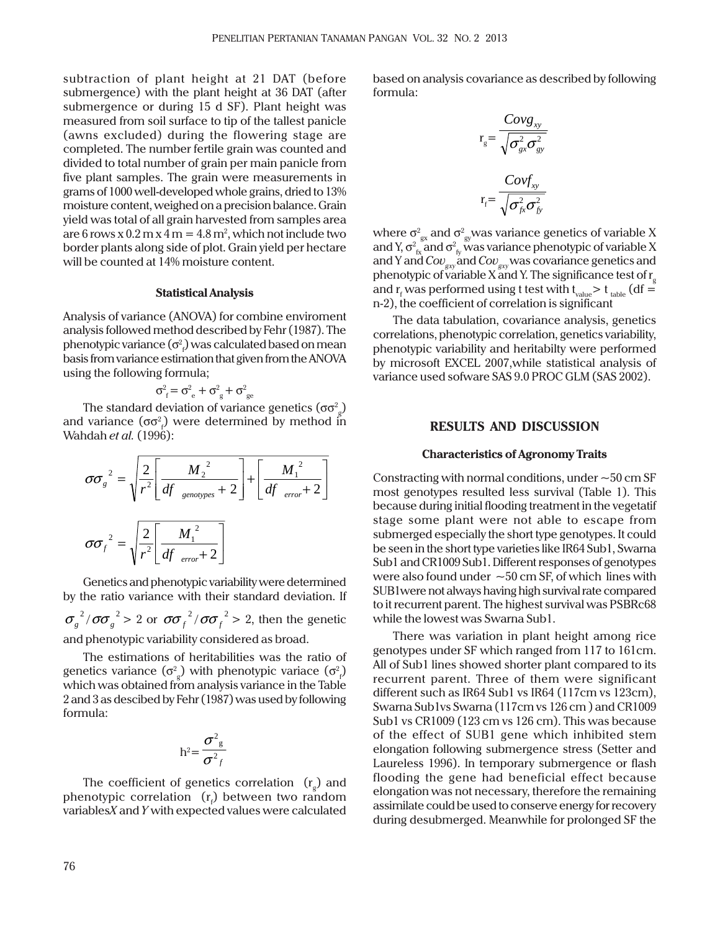subtraction of plant height at 21 DAT (before submergence) with the plant height at 36 DAT (after submergence or during 15 d SF). Plant height was measured from soil surface to tip of the tallest panicle (awns excluded) during the flowering stage are completed. The number fertile grain was counted and divided to total number of grain per main panicle from five plant samples. The grain were measurements in grams of 1000 well-developed whole grains, dried to 13% moisture content, weighed on a precision balance. Grain yield was total of all grain harvested from samples area are 6 rows x  $0.2$  m x  $4$  m =  $4.8$  m<sup>2</sup>, which not include two border plants along side of plot. Grain yield per hectare will be counted at 14% moisture content.

#### **Statistical Analysis**

Analysis of variance (ANOVA) for combine enviroment analysis followed method described by Fehr (1987). The phenotypic variance ( $\sigma_{_P}^2$ ) was calculated based on mean basis from variance estimation that given from the ANOVA using the following formula;

$$
\sigma_{\rm f}^2 = \sigma_{\rm e}^2 + \sigma_{\rm g}^2 + \sigma_{\rm ge}^2
$$

The standard deviation of variance genetics (σσ $^{\rm 2}_{\rm g}$ ) and variance (σσ $^{\textrm{2}}$ ) were determined by method in Wahdah *et al.* (1996):

$$
\sigma \sigma_g^{2} = \sqrt{\frac{2}{r^2} \left[ \frac{M_2^{2}}{df_{genotypes} + 2} \right] + \left[ \frac{M_1^{2}}{df_{error} + 2} \right]}
$$

$$
\sigma \sigma_f^{2} = \sqrt{\frac{2}{r^2} \left[ \frac{M_1^{2}}{df_{error} + 2} \right]}
$$

Genetics and phenotypic variability were determined by the ratio variance with their standard deviation. If  $\sigma_g^2/\sigma \sigma_g^2 > 2$  or  $\sigma \sigma_f^2/\sigma \sigma_f^2 > 2$ , then the genetic and phenotypic variability considered as broad.

The estimations of heritabilities was the ratio of genetics variance  $(\sigma_{_g}^{\rm{2}})$  with phenotypic variace  $(\sigma_{_f}^{\rm{2}})$ which was obtained from analysis variance in the Table 2 and 3 as descibed by Fehr (1987) was used by following formula:

$$
h^2 = \frac{\sigma^2_g}{\sigma^2_f}
$$

The coefficient of genetics correlation  $(r_g)$  and phenotypic correlation  $(r_{\scriptscriptstyle \rm f})$  between two random variables*X* and *Y* with expected values were calculated based on analysis covariance as described by following formula:

$$
r_{g} = \frac{Covg_{xy}}{\sqrt{\sigma_{gx}^{2} \sigma_{gy}^{2}}}
$$

$$
r_{f} = \frac{Covf_{xy}}{\sqrt{\sigma_{fx}^{2} \sigma_{fy}^{2}}}
$$

where  $\sigma^2_{_{\rm gw}}$  and  $\sigma^2_{_{\rm gw}}$ was variance genetics of variable X and Y,  $\sigma_{\rm fx}^2$ and  $\sigma_{\rm fy}^2$  was variance phenotypic of variable X and Y and *Covgxy* and *Covgxy* was covariance genetics and phenotypic of variable X and Y. The significance test of  $\mathrm{r}_{\mathrm{g}}$ and  $\rm r_{f}$  was performed using t test with t $\rm _{value}$   $>$  t  $\rm _{table}$  (df  $=$ n-2), the coefficient of correlation is significant

The data tabulation, covariance analysis, genetics correlations, phenotypic correlation, genetics variability, phenotypic variability and heritabilty were performed by microsoft EXCEL 2007,while statistical analysis of variance used sofware SAS 9.0 PROC GLM (SAS 2002).

# **RESULTS AND DISCUSSION**

#### **Characteristics of Agronomy Traits**

Constracting with normal conditions, under  $\sim$  50 cm SF most genotypes resulted less survival (Table 1). This because during initial flooding treatment in the vegetatif stage some plant were not able to escape from submerged especially the short type genotypes. It could be seen in the short type varieties like IR64 Sub1, Swarna Sub1 and CR1009 Sub1. Different responses of genotypes were also found under  $\sim$  50 cm SF, of which lines with SUB1were not always having high survival rate compared to it recurrent parent. The highest survival was PSBRc68 while the lowest was Swarna Sub1.

There was variation in plant height among rice genotypes under SF which ranged from 117 to 161cm. All of Sub1 lines showed shorter plant compared to its recurrent parent. Three of them were significant different such as IR64 Sub1 vs IR64 (117cm vs 123cm), Swarna Sub1vs Swarna (117cm vs 126 cm ) and CR1009 Sub1 vs CR1009 (123 cm vs 126 cm). This was because of the effect of SUB1 gene which inhibited stem elongation following submergence stress (Setter and Laureless 1996). In temporary submergence or flash flooding the gene had beneficial effect because elongation was not necessary, therefore the remaining assimilate could be used to conserve energy for recovery during desubmerged. Meanwhile for prolonged SF the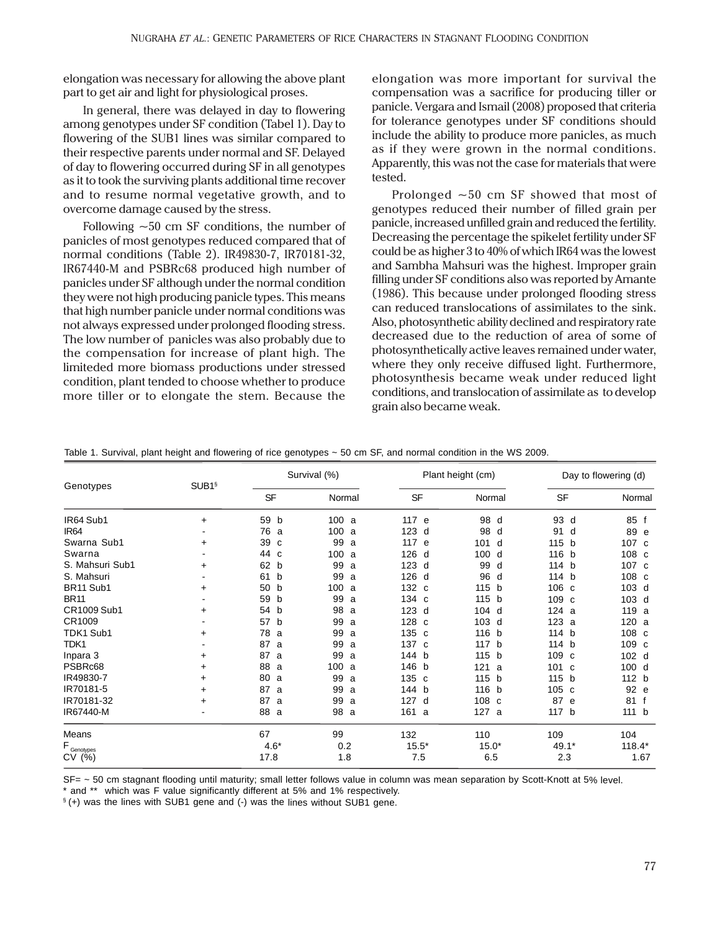elongation was necessary for allowing the above plant part to get air and light for physiological proses.

In general, there was delayed in day to flowering among genotypes under SF condition (Tabel 1). Day to flowering of the SUB1 lines was similar compared to their respective parents under normal and SF. Delayed of day to flowering occurred during SF in all genotypes as it to took the surviving plants additional time recover and to resume normal vegetative growth, and to overcome damage caused by the stress.

Following  $\sim$  50 cm SF conditions, the number of panicles of most genotypes reduced compared that of normal conditions (Table 2). IR49830-7, IR70181-32, IR67440-M and PSBRc68 produced high number of panicles under SF although under the normal condition they were not high producing panicle types. This means that high number panicle under normal conditions was not always expressed under prolonged flooding stress. The low number of panicles was also probably due to the compensation for increase of plant high. The limiteded more biomass productions under stressed condition, plant tended to choose whether to produce more tiller or to elongate the stem. Because the elongation was more important for survival the compensation was a sacrifice for producing tiller or panicle. Vergara and Ismail (2008) proposed that criteria for tolerance genotypes under SF conditions should include the ability to produce more panicles, as much as if they were grown in the normal conditions. Apparently, this was not the case for materials that were tested.

Prolonged ~50 cm SF showed that most of genotypes reduced their number of filled grain per panicle, increased unfilled grain and reduced the fertility. Decreasing the percentage the spikelet fertility under SF could be as higher 3 to 40% of which IR64 was the lowest and Sambha Mahsuri was the highest. Improper grain filling under SF conditions also was reported by Amante (1986). This because under prolonged flooding stress can reduced translocations of assimilates to the sink. Also, photosynthetic ability declined and respiratory rate decreased due to the reduction of area of some of photosynthetically active leaves remained under water, where they only receive diffused light. Furthermore, photosynthesis became weak under reduced light conditions, and translocation of assimilate as to develop grain also became weak.

|                        | SUB1§     |                | Survival (%) |                  | Plant height (cm) | Day to flowering (d) |          |  |
|------------------------|-----------|----------------|--------------|------------------|-------------------|----------------------|----------|--|
| Genotypes              |           | <b>SF</b>      | Normal       | <b>SF</b>        | Normal            | <b>SF</b>            | Normal   |  |
| IR64 Sub1              | $\ddot{}$ | 59<br>b        | 100a         | 117 e            | 98<br>d           | 93<br>d              | 85 f     |  |
| IR64                   |           | 76<br>a        | 100<br>a     | $123$ d          | 98<br>d           | 91<br>d              | 89 e     |  |
| Swarna Sub1            | $\ddot{}$ | 39<br>C        | 99<br>a      | 117 e            | 101<br>d          | 115 b                | 107 c    |  |
| Swarna                 |           | 44<br><b>C</b> | 100<br>a     | 126 d            | 100<br>d          | 116 b                | 108 c    |  |
| S. Mahsuri Sub1        | $\ddot{}$ | 62 b           | 99<br>a      | $123$ d          | 99<br>d           | 114 b                | 107 c    |  |
| S. Mahsuri             |           | 61<br>b        | 99<br>a      | 126 d            | 96<br>d           | 114 b                | 108 c    |  |
| BR11 Sub1              | +         | 50<br>b        | 100<br>a     | 132 c            | 115<br>b          | 106 <sub>c</sub>     | 103 d    |  |
| <b>BR11</b>            |           | 59<br>b        | 99<br>a      | 134 c            | 115 b             | 109 c                | 103 d    |  |
| CR1009 Sub1            | $\ddot{}$ | 54<br>b        | 98<br>a      | 123 d            | $104$ d           | 124 a                | 119 a    |  |
| CR1009                 |           | 57<br>b        | 99<br>a      | 128 c            | 103<br>d          | 123a                 | 120 a    |  |
| TDK1 Sub1              | $\ddot{}$ | 78<br>a        | 99<br>a      | 135 c            | 116<br>b          | 114 b                | 108 c    |  |
| TDK1                   |           | 87<br>a        | 99<br>a      | 137 c            | 117<br>b          | 114 b                | 109 c    |  |
| Inpara 3               | $\ddot{}$ | 87<br>a        | 99<br>a      | 144 b            | 115<br>b          | 109 c                | 102 d    |  |
| PSBRc68                | $\ddot{}$ | 88<br>a        | 100<br>a     | 146 b            | 121<br>a          | 101<br>C             | 100 d    |  |
| IR49830-7              | $\ddot{}$ | 80<br>a        | 99<br>a      | 135 <sub>c</sub> | 115 b             | 115 b                | 112 b    |  |
| IR70181-5              | $\ddot{}$ | 87<br>a        | 99<br>a      | 144 b            | 116 b             | 105 c                | 92 e     |  |
| IR70181-32             | $\ddot{}$ | 87<br>a        | 99<br>a      | 127 d            | 108 c             | 87<br>e              | 81 f     |  |
| IR67440-M              |           | 88<br>a        | 98<br>a      | 161 a            | 127 a             | 117 <sub>b</sub>     | 111 b    |  |
| Means                  |           | 67             | 99           | 132              | 110               | 109                  | 104      |  |
| $F_{\text{Genotypes}}$ |           | $4.6*$         | 0.2          | $15.5*$          | $15.0*$           | 49.1*                | $118.4*$ |  |
| CV(%)                  |           | 17.8           | 1.8          | 7.5              | 6.5               | 2.3                  | 1.67     |  |

Table 1. Survival, plant height and flowering of rice genotypes ~ 50 cm SF, and normal condition in the WS 2009.

SF= ~ 50 cm stagnant flooding until maturity; small letter follows value in column was mean separation by Scott-Knott at 5% level.

\* and \*\* which was F value significantly different at 5% and 1% respectively.

§ (+) was the lines with SUB1 gene and (-) was the lines without SUB1 gene.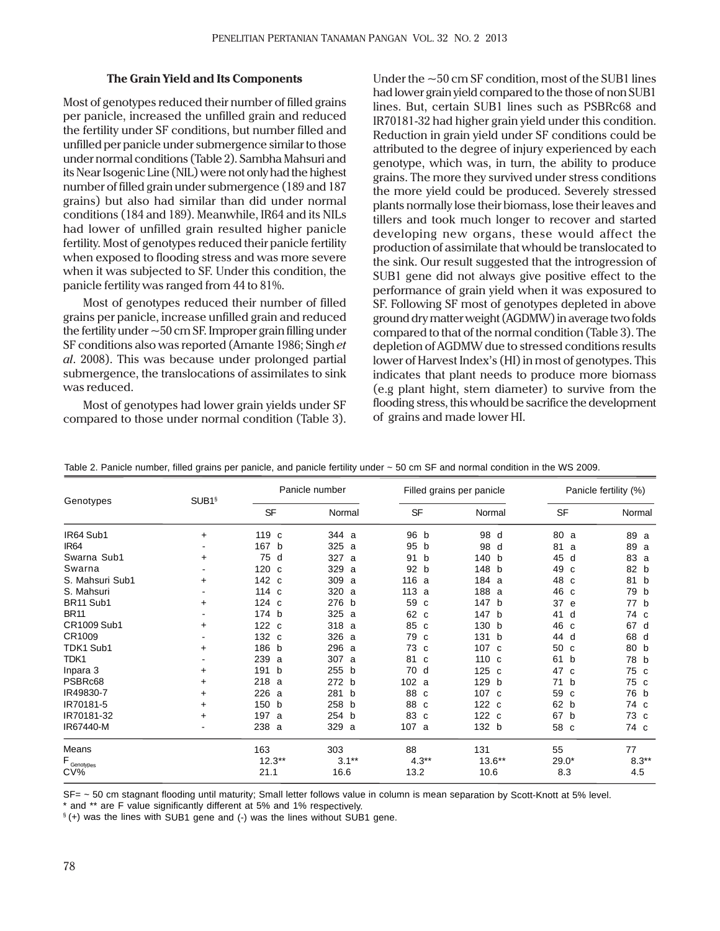#### **The Grain Yield and Its Components**

Most of genotypes reduced their number of filled grains per panicle, increased the unfilled grain and reduced the fertility under SF conditions, but number filled and unfilled per panicle under submergence similar to those under normal conditions (Table 2). Sambha Mahsuri and its Near Isogenic Line (NIL) were not only had the highest number of filled grain under submergence (189 and 187 grains) but also had similar than did under normal conditions (184 and 189). Meanwhile, IR64 and its NILs had lower of unfilled grain resulted higher panicle fertility. Most of genotypes reduced their panicle fertility when exposed to flooding stress and was more severe when it was subjected to SF. Under this condition, the panicle fertility was ranged from 44 to 81%.

Most of genotypes reduced their number of filled grains per panicle, increase unfilled grain and reduced the fertility under  $\sim$  50 cm SF. Improper grain filling under SF conditions also was reported (Amante 1986; Singh *et al*. 2008). This was because under prolonged partial submergence, the translocations of assimilates to sink was reduced.

Most of genotypes had lower grain yields under SF compared to those under normal condition (Table 3). Under the  $\sim$  50 cm SF condition, most of the SUB1 lines had lower grain yield compared to the those of non SUB1 lines. But, certain SUB1 lines such as PSBRc68 and IR70181-32 had higher grain yield under this condition. Reduction in grain yield under SF conditions could be attributed to the degree of injury experienced by each genotype, which was, in turn, the ability to produce grains. The more they survived under stress conditions the more yield could be produced. Severely stressed plants normally lose their biomass, lose their leaves and tillers and took much longer to recover and started developing new organs, these would affect the production of assimilate that whould be translocated to the sink. Our result suggested that the introgression of SUB1 gene did not always give positive effect to the performance of grain yield when it was exposured to SF. Following SF most of genotypes depleted in above ground dry matter weight (AGDMW) in average two folds compared to that of the normal condition (Table 3). The depletion of AGDMW due to stressed conditions results lower of Harvest Index's (HI) in most of genotypes. This indicates that plant needs to produce more biomass (e.g plant hight, stem diameter) to survive from the flooding stress, this whould be sacrifice the development of grains and made lower HI.

| Genotypes              | SUB1§     |                  | Panicle number |           | Filled grains per panicle | Panicle fertility (%) |         |  |
|------------------------|-----------|------------------|----------------|-----------|---------------------------|-----------------------|---------|--|
|                        |           | SF               | Normal         | <b>SF</b> | Normal                    | <b>SF</b>             | Normal  |  |
| IR64 Sub1              | +         | 119 c            | 344 a          | 96 b      | 98<br>d                   | 80<br>a               | 89 a    |  |
| IR64                   |           | 167<br>b         | 325<br>- a     | 95<br>b   | 98<br>d                   | 81<br>a               | 89 a    |  |
| Swarna Sub1            | +         | 75<br>d          | 327<br>a       | 91<br>b   | 140<br>b                  | 45<br>d               | 83 a    |  |
| Swarna                 |           | 120 <sub>c</sub> | 329 a          | 92 b      | 148 b                     | 49<br>C               | 82 b    |  |
| S. Mahsuri Sub1        | $\ddot{}$ | 142 c            | 309 a          | 116 a     | 184 a                     | 48<br>C               | 81<br>b |  |
| S. Mahsuri             |           | 114 c            | 320 a          | 113a      | 188 a                     | 46<br>C               | 79 b    |  |
| BR11 Sub1              | $\ddot{}$ | 124 c            | 276<br>b       | 59<br>C   | 147 b                     | 37<br>e               | 77 b    |  |
| <b>BR11</b>            |           | 174 b            | 325 a          | 62 c      | 147<br>b                  | 41<br>d               | 74 c    |  |
| CR1009 Sub1            | $\ddot{}$ | 122 c            | 318 a          | 85 c      | 130 b                     | 46<br>C               | 67 d    |  |
| CR1009                 |           | 132 c            | 326 a          | 79<br>C   | 131 b                     | 44<br>d               | 68 d    |  |
| TDK1 Sub1              | $+$       | 186 b            | 296 a          | 73 c      | 107 c                     | 50<br>C               | 80 b    |  |
| TDK1                   |           | 239<br>a         | 307 a          | 81<br>C   | 110 c                     | 61<br>b               | 78 b    |  |
| Inpara 3               | $\ddot{}$ | 191<br>b         | 255 b          | 70 d      | $125$ c                   | 47<br>C               | 75 c    |  |
| PSBRc68                | $\ddot{}$ | 218<br>a         | 272 b          | 102 a     | 129 b                     | 71 b                  | 75 c    |  |
| IR49830-7              | $\ddot{}$ | 226<br>a         | 281 b          | 88 c      | 107 c                     | 59<br>c               | 76 b    |  |
| IR70181-5              | ÷         | 150 b            | 258 b          | 88 c      | 122c                      | 62<br>b               | 74 c    |  |
| IR70181-32             | $\ddot{}$ | 197<br>a         | 254 b          | 83 c      | 122 c                     | 67<br>b               | 73 c    |  |
| IR67440-M              |           | 238<br>a         | 329 a          | 107 a     | 132 b                     | 58 c                  | 74 c    |  |
| Means                  |           | 163              | 303            | 88        | 131                       | 55                    | 77      |  |
| $F_{\text{Genotypes}}$ |           | $12.3**$         | $3.1***$       | $4.3**$   | $13.6***$                 | $29.0*$               | $8.3**$ |  |
| $CV\%$                 |           | 21.1             | 16.6           | 13.2      | 10.6                      | 8.3                   | 4.5     |  |

Table 2. Panicle number, filled grains per panicle, and panicle fertility under ~ 50 cm SF and normal condition in the WS 2009.

SF= ~ 50 cm stagnant flooding until maturity; Small letter follows value in column is mean separation by Scott-Knott at 5% level.

\* and \*\* are F value significantly different at 5% and 1% respectively.

§ (+) was the lines with SUB1 gene and (-) was the lines without SUB1 gene.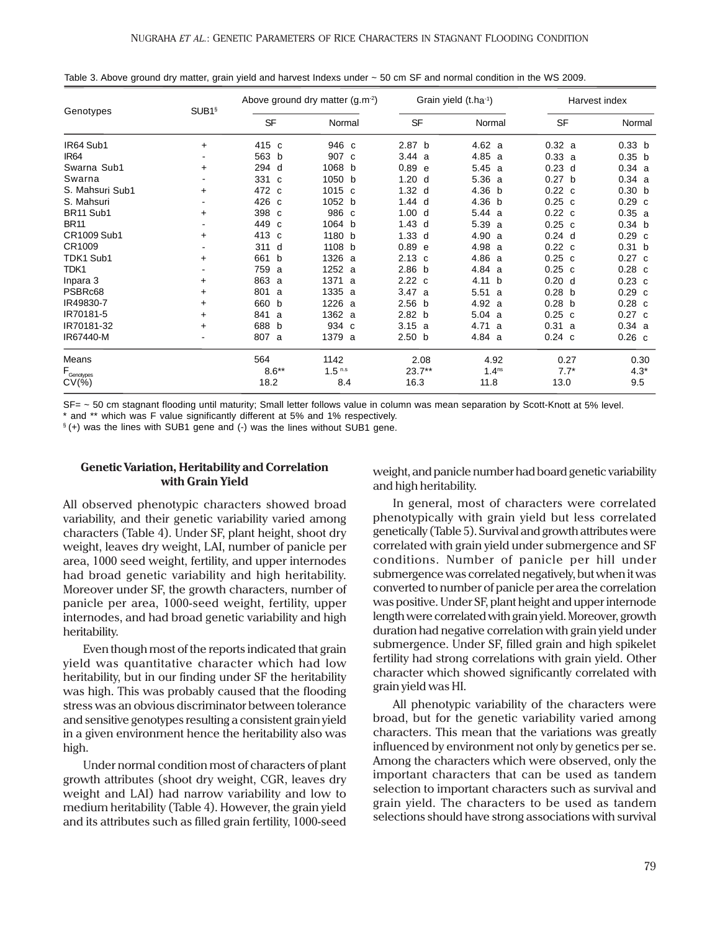|                                  | SUB <sub>1</sub> § |                     | Above ground dry matter $(g.m^{-2})$ |                   | Grain yield (t.ha <sup>-1</sup> ) | Harvest index     |                   |  |
|----------------------------------|--------------------|---------------------|--------------------------------------|-------------------|-----------------------------------|-------------------|-------------------|--|
| Genotypes                        |                    | SF                  | Normal                               | <b>SF</b>         | Normal                            | SF                | Normal            |  |
| IR64 Sub1                        | $\ddot{}$          | 415<br>C            | 946 c                                | 2.87 <sub>b</sub> | 4.62 a                            | 0.32 a            | 0.33 <sub>b</sub> |  |
| IR <sub>64</sub>                 |                    | 563<br>b            | 907 c                                | 3.44a             | 4.85a                             | 0.33 a            | 0.35 <sub>b</sub> |  |
| Swarna Sub1                      | $\ddot{}$          | 294<br>d            | 1068 b                               | 0.89 e            | 5.45a                             | $0.23$ d          | 0.34 a            |  |
| Swarna                           |                    | 331<br>$\mathbf{C}$ | 1050 b                               | 1.20 <sub>d</sub> | 5.36a                             | 0.27 <sub>b</sub> | 0.34 a            |  |
| S. Mahsuri Sub1                  | +                  | 472<br><sub>c</sub> | 1015 c                               | 1.32 <sub>d</sub> | 4.36 b                            | $0.22\ c$         | 0.30 <sub>b</sub> |  |
| S. Mahsuri                       |                    | 426<br>C            | 1052 b                               | $1.44$ d          | 4.36 b                            | $0.25$ c          | $0.29$ c          |  |
| BR11 Sub1                        | $\ddot{}$          | 398<br>C            | 986 c                                | 1.00 <sub>d</sub> | 5.44a                             | 0.22 c            | 0.35 a            |  |
| <b>BR11</b>                      |                    | 449<br>C            | 1064 b                               | $1.43$ d          | 5.39 a                            | $0.25$ c          | 0.34 <sub>b</sub> |  |
| CR1009 Sub1                      | ÷                  | 413<br>C            | 1180 b                               | $1.33$ d          | 4.90<br>a                         | $0.24$ d          | $0.29$ c          |  |
| CR1009                           |                    | 311<br>d            | 1108 b                               | 0.89 e            | 4.98 a                            | $0.22 \text{ c}$  | 0.31 <sub>b</sub> |  |
| TDK1 Sub1                        | +                  | 661<br>b            | 1326 a                               | $2.13 \text{ c}$  | 4.86 a                            | $0.25$ c          | $0.27$ c          |  |
| TDK1                             |                    | 759<br>a            | 1252 a                               | 2.86 <sub>b</sub> | 4.84 a                            | $0.25$ c          | $0.28$ c          |  |
| Inpara 3                         | $\ddot{}$          | 863<br>a            | 1371 a                               | 2.22c             | 4.11 b                            | 0.20 <sub>d</sub> | $0.23$ c          |  |
| PSBRc68                          | $\ddot{}$          | 801<br>a            | 1335 a                               | 3.47a             | 5.51<br>a                         | 0.28 <sub>b</sub> | $0.29$ c          |  |
| IR49830-7                        | $\ddot{}$          | 660<br>b            | 1226 a                               | 2.56 <sub>b</sub> | 4.92 a                            | 0.28 <sub>b</sub> | $0.28$ c          |  |
| IR70181-5                        | +                  | 841<br>a            | 1362 a                               | 2.82 b            | 5.04 a                            | $0.25$ c          | $0.27$ c          |  |
| IR70181-32                       | +                  | 688<br>b            | 934 c                                | 3.15 a            | 4.71<br>- a                       | 0.31 a            | 0.34 a            |  |
| IR67440-M                        |                    | 807<br>a            | 1379 a                               | 2.50 <sub>b</sub> | 4.84 a                            | $0.24$ c          | $0.26$ c          |  |
| Means                            |                    | 564                 | 1142                                 | 2.08              | 4.92                              | 0.27              | 0.30              |  |
|                                  |                    | $8.6***$            | 1.5 <sup>n.s</sup>                   | $23.7**$          | 1.4 <sup>ns</sup>                 | $7.7*$            | $4.3*$            |  |
| $F_{\text{Genotypes}}$<br>$CV(%$ |                    | 18.2                | 8.4                                  | 16.3              | 11.8                              | 13.0              | 9.5               |  |

Table 3. Above ground dry matter, grain yield and harvest Indexs under ~ 50 cm SF and normal condition in the WS 2009.

SF= ~ 50 cm stagnant flooding until maturity; Small letter follows value in column was mean separation by Scott-Knott at 5% level. and \*\* which was F value significantly different at 5% and 1% respectively.

§ (+) was the lines with SUB1 gene and (-) was the lines without SUB1 gene.

# **Genetic Variation, Heritability and Correlation with Grain Yield**

All observed phenotypic characters showed broad variability, and their genetic variability varied among characters (Table 4). Under SF, plant height, shoot dry weight, leaves dry weight, LAI, number of panicle per area, 1000 seed weight, fertility, and upper internodes had broad genetic variability and high heritability. Moreover under SF, the growth characters, number of panicle per area, 1000-seed weight, fertility, upper internodes, and had broad genetic variability and high heritability.

Even though most of the reports indicated that grain yield was quantitative character which had low heritability, but in our finding under SF the heritability was high. This was probably caused that the flooding stress was an obvious discriminator between tolerance and sensitive genotypes resulting a consistent grain yield in a given environment hence the heritability also was high.

Under normal condition most of characters of plant growth attributes (shoot dry weight, CGR, leaves dry weight and LAI) had narrow variability and low to medium heritability (Table 4). However, the grain yield and its attributes such as filled grain fertility, 1000-seed weight, and panicle number had board genetic variability and high heritability.

In general, most of characters were correlated phenotypically with grain yield but less correlated genetically (Table 5). Survival and growth attributes were correlated with grain yield under submergence and SF conditions. Number of panicle per hill under submergence was correlated negatively, but when it was converted to number of panicle per area the correlation was positive. Under SF, plant height and upper internode length were correlated with grain yield. Moreover, growth duration had negative correlation with grain yield under submergence. Under SF, filled grain and high spikelet fertility had strong correlations with grain yield. Other character which showed significantly correlated with grain yield was HI.

All phenotypic variability of the characters were broad, but for the genetic variability varied among characters. This mean that the variations was greatly influenced by environment not only by genetics per se. Among the characters which were observed, only the important characters that can be used as tandem selection to important characters such as survival and grain yield. The characters to be used as tandem selections should have strong associations with survival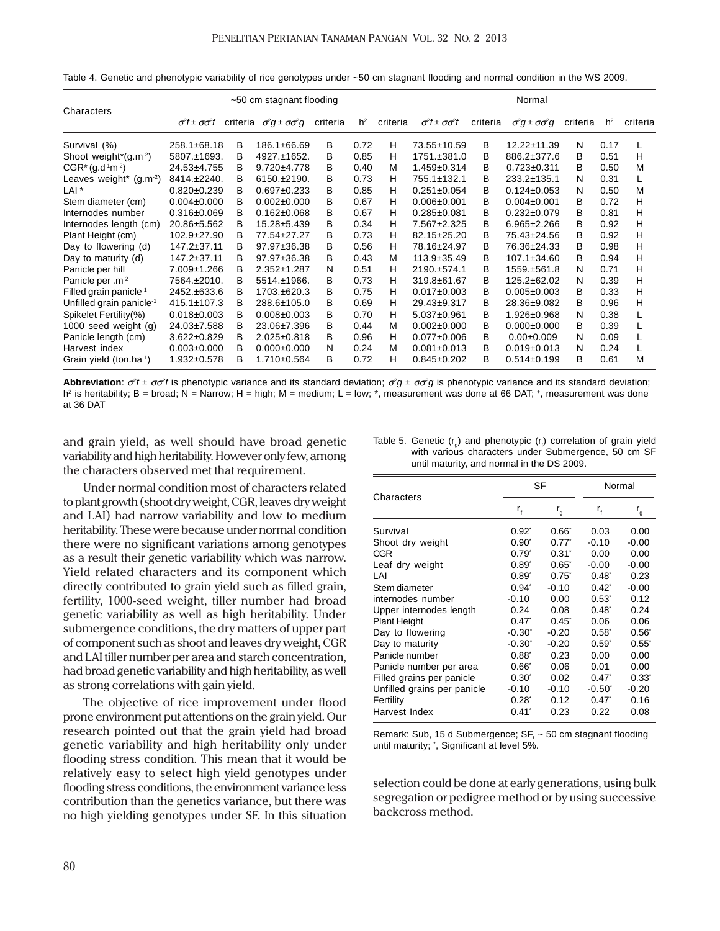|                                      | ~50 cm stagnant flooding           |          |                                    |          |                |          | Normal                             |          |                                    |          |                |          |
|--------------------------------------|------------------------------------|----------|------------------------------------|----------|----------------|----------|------------------------------------|----------|------------------------------------|----------|----------------|----------|
| Characters                           | $\sigma^2 f$ ± $\sigma \sigma^2 f$ | criteria | $\sigma^2 q \pm \sigma \sigma^2 q$ | criteria | h <sup>2</sup> | criteria | $\sigma^2 f \pm \sigma \sigma^2 f$ | criteria | $\sigma^2 q \pm \sigma \sigma^2 q$ | criteria | h <sup>2</sup> | criteria |
| Survival (%)                         | 258.1±68.18                        | в        | 186.1±66.69                        | В        | 0.72           | н        | 73.55±10.59                        | в        | $12.22 \pm 11.39$                  | Ν        | 0.17           | L        |
| Shoot weight* $(g.m^{-2})$           | 5807.±1693.                        | в        | 4927.±1652.                        | в        | 0.85           | н        | 1751.±381.0                        | в        | 886.2±377.6                        | в        | 0.51           | н        |
| $CGR*(q.d1m-2)$                      | 24.53±4.755                        | в        | $9.720 \pm 4.778$                  | в        | 0.40           | м        | $1.459 \pm 0.314$                  | в        | $0.723 \pm 0.311$                  | в        | 0.50           | M        |
| Leaves weight* $(g.m^{-2})$          | 8414.±2240.                        | В        | $6150.+2190.$                      | B        | 0.73           | н        | 755.1±132.1                        | B        | 233.2±135.1                        | N        | 0.31           |          |
| LAI <sup>*</sup>                     | $0.820 \pm 0.239$                  | В        | $0.697 \pm 0.233$                  | в        | 0.85           | н        | $0.251 \pm 0.054$                  | в        | $0.124 \pm 0.053$                  | N        | 0.50           | M        |
| Stem diameter (cm)                   | $0.004 \pm 0.000$                  | В        | $0.002 \pm 0.000$                  | B        | 0.67           | н        | $0.006 \pm 0.001$                  | в        | $0.004 \pm 0.001$                  | в        | 0.72           | н        |
| Internodes number                    | $0.316 \pm 0.069$                  | В        | $0.162 \pm 0.068$                  | В        | 0.67           | H        | $0.285 \pm 0.081$                  | в        | $0.232 \pm 0.079$                  | в        | 0.81           | н        |
| Internodes length (cm)               | 20.86±5.562                        | в        | 15.28±5.439                        | В        | 0.34           | н        | 7.567±2.325                        | в        | $6.965 \pm 2.266$                  | в        | 0.92           | н        |
| Plant Height (cm)                    | $102.9 \pm 27.90$                  | в        | 77.54±27.27                        | В        | 0.73           | H        | 82.15±25.20                        | в        | 75.43±24.56                        | в        | 0.92           | н        |
| Day to flowering (d)                 | 147.2±37.11                        | в        | 97.97±36.38                        | В        | 0.56           | H        | 78.16±24.97                        | в        | 76.36±24.33                        | в        | 0.98           | н        |
| Day to maturity (d)                  | 147.2±37.11                        | B        | 97.97±36.38                        | В        | 0.43           | М        | $113.9 \pm 35.49$                  | B        | $107.1 \pm 34.60$                  | B        | 0.94           | н        |
| Panicle per hill                     | 7.009±1.266                        | в        | $2.352 \pm 1.287$                  | N        | 0.51           | н        | 2190.±574.1                        | B        | 1559.±561.8                        | N        | 0.71           | н        |
| Panicle per .m <sup>-2</sup>         | 7564.±2010.                        | в        | $5514. \pm 1966.$                  | В        | 0.73           | н        | 319.8±61.67                        | В        | 125.2±62.02                        | N        | 0.39           | н        |
| Filled grain panicle <sup>-1</sup>   | 2452.±633.6                        | в        | 1703.±620.3                        | В        | 0.75           | н        | $0.017 \pm 0.003$                  | в        | $0.005 \pm 0.003$                  | в        | 0.33           | н        |
| Unfilled grain panicle <sup>-1</sup> | $415.1 \pm 107.3$                  | в        | 288.6±105.0                        | В        | 0.69           | н        | 29.43±9.317                        | в        | 28.36±9.082                        | в        | 0.96           | н        |
| Spikelet Fertility(%)                | $0.018 \pm 0.003$                  | в        | $0.008 \pm 0.003$                  | B        | 0.70           | н        | 5.037±0.961                        | в        | 1.926±0.968                        | N        | 0.38           |          |
| 1000 seed weight (g)                 | 24.03±7.588                        | в        | 23.06±7.396                        | В        | 0.44           | M        | $0.002 \pm 0.000$                  | в        | $0.000 \pm 0.000$                  | в        | 0.39           |          |
| Panicle length (cm)                  | $3.622 \pm 0.829$                  | В        | $2.025 \pm 0.818$                  | В        | 0.96           | H        | $0.077 + 0.006$                    | в        | $0.00 \pm 0.009$                   | N        | 0.09           |          |
| Harvest index                        | $0.003 \pm 0.000$                  | в        | $0.000 \pm 0.000$                  | Ν        | 0.24           | М        | $0.081 \pm 0.013$                  | В        | $0.019 \pm 0.013$                  | N        | 0.24           |          |
| Grain yield (ton.ha-1)               | $1.932 \pm 0.578$                  | в        | $1.710+0.564$                      | в        | 0.72           | н        | $0.845 \pm 0.202$                  | B        | $0.514 \pm 0.199$                  | в        | 0.61           | М        |

Table 4. Genetic and phenotypic variability of rice genotypes under ~50 cm stagnant flooding and normal condition in the WS 2009.

**Abbreviation**: σ<sup>2</sup>*f* ± σσ<sup>2</sup>*f* is phenotypic variance and its standard deviation; σ<sup>2</sup>*g* ± σσ<sup>2</sup>*g* is phenotypic variance and its standard deviation; h<sup>2</sup> is heritability; B = broad; N = Narrow; H = high; M = medium; L = low; \*, measurement was done at 66 DAT; \*, measurement was done at 36 DAT

and grain yield, as well should have broad genetic variability and high heritability. However only few, among the characters observed met that requirement.

Under normal condition most of characters related to plant growth (shoot dry weight, CGR, leaves dry weight and LAI) had narrow variability and low to medium heritability. These were because under normal condition there were no significant variations among genotypes as a result their genetic variability which was narrow. Yield related characters and its component which directly contributed to grain yield such as filled grain, fertility, 1000-seed weight, tiller number had broad genetic variability as well as high heritability. Under submergence conditions, the dry matters of upper part of component such as shoot and leaves dry weight, CGR and LAI tiller number per area and starch concentration, had broad genetic variability and high heritability, as well as strong correlations with gain yield.

The objective of rice improvement under flood prone environment put attentions on the grain yield. Our research pointed out that the grain yield had broad genetic variability and high heritability only under flooding stress condition. This mean that it would be relatively easy to select high yield genotypes under flooding stress conditions, the environment variance less contribution than the genetics variance, but there was no high yielding genotypes under SF. In this situation

| Table 5. Genetic $(r_a)$ and phenotypic $(r_i)$ correlation of grain yield |
|----------------------------------------------------------------------------|
| with various characters under Submergence, 50 cm SF                        |
| until maturity, and normal in the DS 2009.                                 |

|                             |                 | SF                      | Normal          |                  |  |
|-----------------------------|-----------------|-------------------------|-----------------|------------------|--|
| Characters                  | $r_{\rm f}$     | $\mathsf{r}_\mathsf{g}$ | r,              | r <sub>g</sub>   |  |
| Survival                    | $0.92^{r}$      | $0.66^*$                | 0.03            | 0.00             |  |
| Shoot dry weight            | $0.90^{\circ}$  | $0.77^*$                | $-0.10$         | $-0.00$          |  |
| <b>CGR</b>                  | $0.79^{*}$      | $0.31^{\circ}$          | 0.00            | 0.00             |  |
| Leaf dry weight             | $0.89^{\circ}$  | $0.65^*$                | $-0.00$         | $-0.00$          |  |
| LAI                         | $0.89^{*}$      | $0.75^{\circ}$          | $0.48^{\circ}$  | 0.23             |  |
| Stem diameter               | $0.94^{\circ}$  | $-0.10$                 | $0.42^{\circ}$  | $-0.00$          |  |
| internodes number           | $-0.10$         | 0.00                    | $0.53^{\circ}$  | 0.12             |  |
| Upper internodes length     | 0.24            | 0.08                    | $0.48^{\circ}$  | 0.24             |  |
| Plant Height                | $0.47^{\circ}$  | $0.45^{\circ}$          | 0.06            | 0.06             |  |
| Day to flowering            | $-0.30°$        | $-0.20$                 | $0.58^{\circ}$  | $0.56^{\degree}$ |  |
| Day to maturity             | $-0.30^{\circ}$ | $-0.20$                 | $0.59^{\circ}$  | $0.55^{\circ}$   |  |
| Panicle number              | $0.88^{\circ}$  | 0.23                    | 0.00            | 0.00             |  |
| Panicle number per area     | $0.66^*$        | 0.06                    | 0.01            | 0.00             |  |
| Filled grains per panicle   | $0.30^{\circ}$  | 0.02                    | $0.47^{\circ}$  | $0.33^*$         |  |
| Unfilled grains per panicle | $-0.10$         | $-0.10$                 | $-0.50^{\circ}$ | $-0.20$          |  |
| Fertility                   | $0.28^{\circ}$  | 0.12                    | $0.47^{\circ}$  | 0.16             |  |
| Harvest Index               | $0.41^{\circ}$  | 0.23                    | 0.22            | 0.08             |  |

Remark: Sub, 15 d Submergence; SF, ~ 50 cm stagnant flooding until maturity; \* , Significant at level 5%.

selection could be done at early generations, using bulk segregation or pedigree method or by using successive backcross method.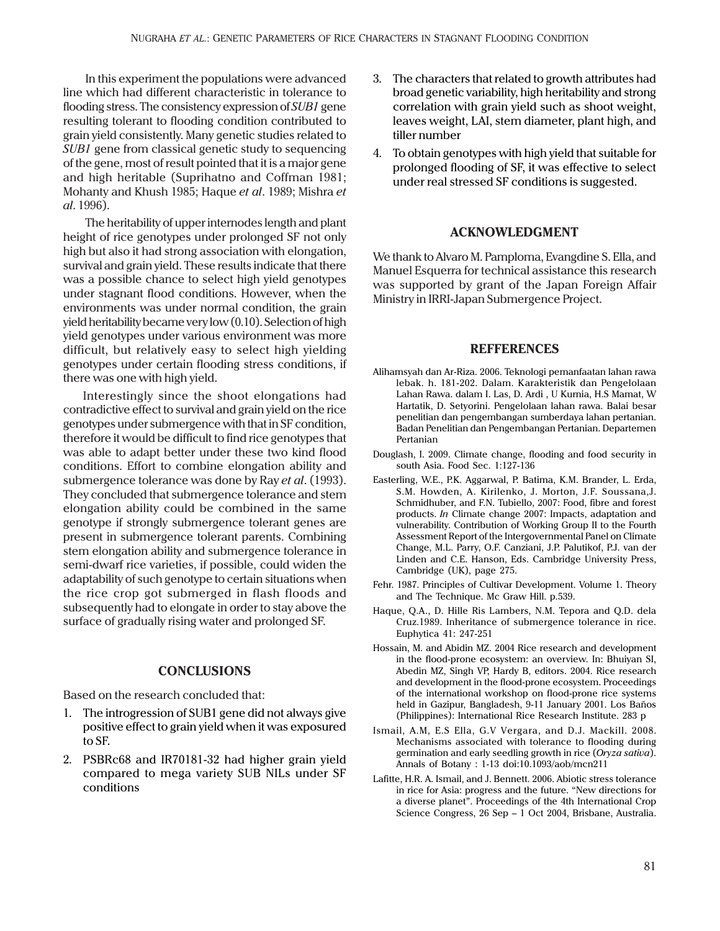In this experiment the populations were advanced line which had different characteristic in tolerance to flooding stress. The consistency expression of *SUB1* gene resulting tolerant to flooding condition contributed to grain yield consistently. Many genetic studies related to *SUB1* gene from classical genetic study to sequencing of the gene, most of result pointed that it is a major gene and high heritable (Suprihatno and Coffman 1981; Mohanty and Khush 1985; Haque *et al*. 1989; Mishra *et al*. 1996).

 The heritability of upper internodes length and plant height of rice genotypes under prolonged SF not only high but also it had strong association with elongation, survival and grain yield. These results indicate that there was a possible chance to select high yield genotypes under stagnant flood conditions. However, when the environments was under normal condition, the grain yield heritability became very low (0.10). Selection of high yield genotypes under various environment was more difficult, but relatively easy to select high yielding genotypes under certain flooding stress conditions, if there was one with high yield.

Interestingly since the shoot elongations had contradictive effect to survival and grain yield on the rice genotypes under submergence with that in SF condition, therefore it would be difficult to find rice genotypes that was able to adapt better under these two kind flood conditions. Effort to combine elongation ability and submergence tolerance was done by Ray *et al*. (1993). They concluded that submergence tolerance and stem elongation ability could be combined in the same genotype if strongly submergence tolerant genes are present in submergence tolerant parents. Combining stem elongation ability and submergence tolerance in semi-dwarf rice varieties, if possible, could widen the adaptability of such genotype to certain situations when the rice crop got submerged in flash floods and subsequently had to elongate in order to stay above the surface of gradually rising water and prolonged SF.

## **CONCLUSIONS**

Based on the research concluded that:

- 1. The introgression of SUB1 gene did not always give positive effect to grain yield when it was exposured to SF.
- 2. PSBRc68 and IR70181-32 had higher grain yield compared to mega variety SUB NILs under SF conditions
- 3. The characters that related to growth attributes had broad genetic variability, high heritability and strong correlation with grain yield such as shoot weight, leaves weight, LAI, stem diameter, plant high, and tiller number
- 4. To obtain genotypes with high yield that suitable for prolonged flooding of SF, it was effective to select under real stressed SF conditions is suggested.

# **ACKNOWLEDGMENT**

We thank to Alvaro M. Pamploma, Evangdine S. Ella, and Manuel Esquerra for technical assistance this research was supported by grant of the Japan Foreign Affair Ministry in IRRI-Japan Submergence Project.

# **REFFERENCES**

- Alihamsyah dan Ar-Riza. 2006. Teknologi pemanfaatan lahan rawa lebak. h. 181-202. Dalam. Karakteristik dan Pengelolaan Lahan Rawa. dalam I. Las, D. Ardi , U Kurnia, H.S Mamat, W Hartatik, D. Setyorini. Pengelolaan lahan rawa. Balai besar penelitian dan pengembangan sumberdaya lahan pertanian. Badan Penelitian dan Pengembangan Pertanian. Departemen Pertanian
- Douglash, I. 2009. Climate change, flooding and food security in south Asia. Food Sec. 1:127-136
- Easterling, W.E., P.K. Aggarwal, P. Batima, K.M. Brander, L. Erda, S.M. Howden, A. Kirilenko, J. Morton, J.F. Soussana,J. Schmidhuber, and F.N. Tubiello, 2007: Food, fibre and forest products. *In* Climate change 2007: Impacts, adaptation and vulnerability. Contribution of Working Group II to the Fourth Assessment Report of the Intergovernmental Panel on Climate Change, M.L. Parry, O.F. Canziani, J.P. Palutikof, P.J. van der Linden and C.E. Hanson, Eds. Cambridge University Press, Cambridge (UK), page 275.
- Fehr. 1987. Principles of Cultivar Development. Volume 1. Theory and The Technique. Mc Graw Hill. p.539.
- Haque, Q.A., D. Hille Ris Lambers, N.M. Tepora and Q.D. dela Cruz.1989. Inheritance of submergence tolerance in rice. Euphytica 41: 247-251
- Hossain, M. and Abidin MZ. 2004 Rice research and development in the flood-prone ecosystem: an overview. In: Bhuiyan SI, Abedin MZ, Singh VP, Hardy B, editors. 2004. Rice research and development in the flood-prone ecosystem. Proceedings of the international workshop on flood-prone rice systems held in Gazipur, Bangladesh, 9-11 January 2001. Los Baños (Philippines): International Rice Research Institute. 283 p
- Ismail, A.M, E.S Ella, G.V Vergara, and D.J. Mackill. 2008. Mechanisms associated with tolerance to flooding during germination and early seedling growth in rice (*Oryza sativa*). Annals of Botany : 1-13 doi:10.1093/aob/mcn211
- Lafitte, H.R. A. Ismail, and J. Bennett. 2006. Abiotic stress tolerance in rice for Asia: progress and the future. "New directions for a diverse planet". Proceedings of the 4th International Crop Science Congress, 26 Sep – 1 Oct 2004, Brisbane, Australia.